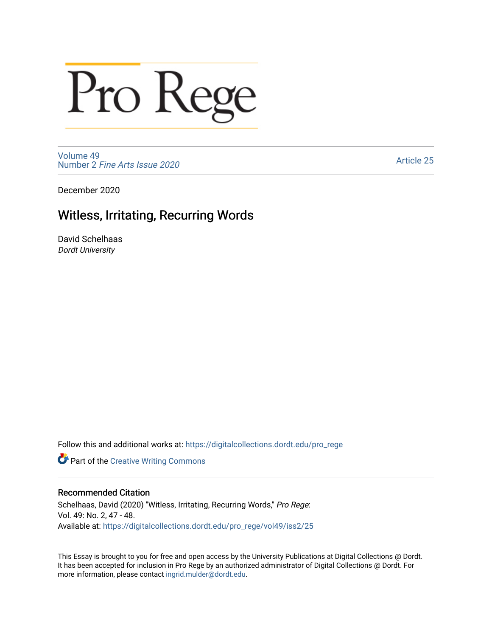# Pro Rege

[Volume 49](https://digitalcollections.dordt.edu/pro_rege/vol49) Number 2 [Fine Arts Issue 2020](https://digitalcollections.dordt.edu/pro_rege/vol49/iss2) 

[Article 25](https://digitalcollections.dordt.edu/pro_rege/vol49/iss2/25) 

December 2020

### Witless, Irritating, Recurring Words

David Schelhaas Dordt University

Follow this and additional works at: [https://digitalcollections.dordt.edu/pro\\_rege](https://digitalcollections.dordt.edu/pro_rege?utm_source=digitalcollections.dordt.edu%2Fpro_rege%2Fvol49%2Fiss2%2F25&utm_medium=PDF&utm_campaign=PDFCoverPages) 

**Part of the Creative Writing Commons** 

#### Recommended Citation

Schelhaas, David (2020) "Witless, Irritating, Recurring Words," Pro Rege: Vol. 49: No. 2, 47 - 48. Available at: [https://digitalcollections.dordt.edu/pro\\_rege/vol49/iss2/25](https://digitalcollections.dordt.edu/pro_rege/vol49/iss2/25?utm_source=digitalcollections.dordt.edu%2Fpro_rege%2Fvol49%2Fiss2%2F25&utm_medium=PDF&utm_campaign=PDFCoverPages)

This Essay is brought to you for free and open access by the University Publications at Digital Collections @ Dordt. It has been accepted for inclusion in Pro Rege by an authorized administrator of Digital Collections @ Dordt. For more information, please contact [ingrid.mulder@dordt.edu.](mailto:ingrid.mulder@dordt.edu)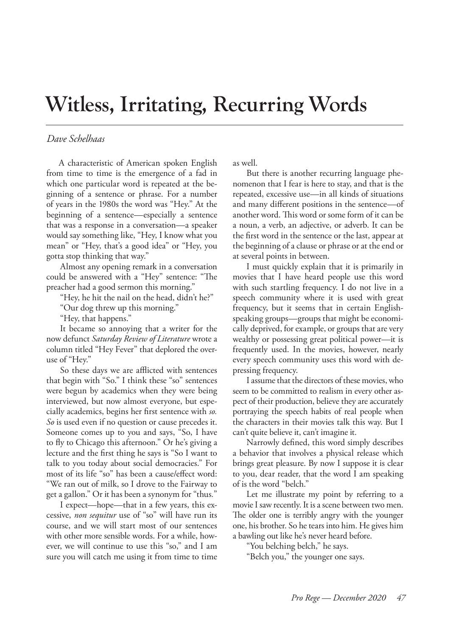## **Witless, Irritating, Recurring Words**

#### *Dave Schelhaas*

A characteristic of American spoken English from time to time is the emergence of a fad in which one particular word is repeated at the beginning of a sentence or phrase. For a number of years in the 1980s the word was "Hey." At the beginning of a sentence—especially a sentence that was a response in a conversation—a speaker would say something like, "Hey, I know what you mean" or "Hey, that's a good idea" or "Hey, you gotta stop thinking that way."

Almost any opening remark in a conversation could be answered with a "Hey" sentence: "The preacher had a good sermon this morning."

"Hey, he hit the nail on the head, didn't he?"

"Our dog threw up this morning."

"Hey, that happens."

It became so annoying that a writer for the now defunct *Saturday Review of Literature* wrote a column titled "Hey Fever" that deplored the overuse of "Hey."

So these days we are afflicted with sentences that begin with "So." I think these "so" sentences were begun by academics when they were being interviewed, but now almost everyone, but especially academics, begins her first sentence with *so. So* is used even if no question or cause precedes it. Someone comes up to you and says, "So, I have to fly to Chicago this afternoon." Or he's giving a lecture and the first thing he says is "So I want to talk to you today about social democracies." For most of its life "so" has been a cause/effect word: "We ran out of milk, so I drove to the Fairway to get a gallon." Or it has been a synonym for "thus*.*"

I expect—hope—that in a few years, this excessive, *non sequitur* use of "so" will have run its course, and we will start most of our sentences with other more sensible words. For a while, however, we will continue to use this "so," and I am sure you will catch me using it from time to time

as well.

But there is another recurring language phenomenon that I fear is here to stay, and that is the repeated, excessive use—in all kinds of situations and many different positions in the sentence—of another word. This word or some form of it can be a noun, a verb, an adjective, or adverb. It can be the first word in the sentence or the last, appear at the beginning of a clause or phrase or at the end or at several points in between.

I must quickly explain that it is primarily in movies that I have heard people use this word with such startling frequency. I do not live in a speech community where it is used with great frequency, but it seems that in certain Englishspeaking groups—groups that might be economically deprived, for example, or groups that are very wealthy or possessing great political power—it is frequently used. In the movies, however, nearly every speech community uses this word with depressing frequency.

I assume that the directors of these movies, who seem to be committed to realism in every other aspect of their production, believe they are accurately portraying the speech habits of real people when the characters in their movies talk this way. But I can't quite believe it, can't imagine it.

Narrowly defined, this word simply describes a behavior that involves a physical release which brings great pleasure. By now I suppose it is clear to you, dear reader, that the word I am speaking of is the word "belch."

Let me illustrate my point by referring to a movie I saw recently. It is a scene between two men. The older one is terribly angry with the younger one, his brother. So he tears into him. He gives him a bawling out like he's never heard before.

"You belching belch," he says.

"Belch you," the younger one says.